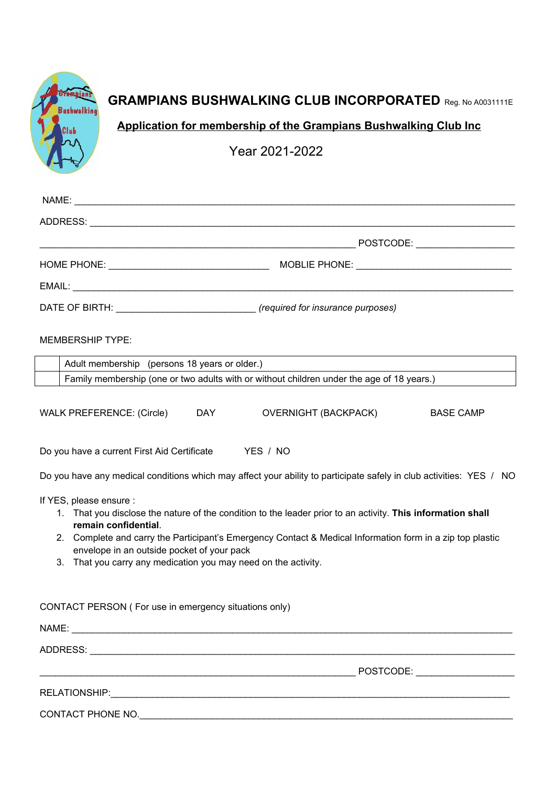| <b>Bushwalking</b>      |                                                       | <b>GRAMPIANS BUSHWALKING CLUB INCORPORATED Reg. No A0031111E</b>                                                    |                                                                  |  |
|-------------------------|-------------------------------------------------------|---------------------------------------------------------------------------------------------------------------------|------------------------------------------------------------------|--|
|                         |                                                       |                                                                                                                     | Application for membership of the Grampians Bushwalking Club Inc |  |
|                         |                                                       | Year 2021-2022                                                                                                      |                                                                  |  |
|                         |                                                       |                                                                                                                     |                                                                  |  |
|                         |                                                       |                                                                                                                     |                                                                  |  |
|                         |                                                       |                                                                                                                     |                                                                  |  |
|                         |                                                       |                                                                                                                     |                                                                  |  |
|                         |                                                       |                                                                                                                     |                                                                  |  |
|                         |                                                       |                                                                                                                     |                                                                  |  |
|                         |                                                       |                                                                                                                     |                                                                  |  |
| <b>MEMBERSHIP TYPE:</b> |                                                       |                                                                                                                     |                                                                  |  |
|                         | Adult membership (persons 18 years or older.)         |                                                                                                                     |                                                                  |  |
|                         |                                                       | Family membership (one or two adults with or without children under the age of 18 years.)                           |                                                                  |  |
|                         | WALK PREFERENCE: (Circle) DAY                         | <b>OVERNIGHT (BACKPACK)</b>                                                                                         | <b>BASE CAMP</b>                                                 |  |
|                         | Do you have a current First Aid Certificate           | YES / NO                                                                                                            |                                                                  |  |
|                         |                                                       | Do you have any medical conditions which may affect your ability to participate safely in club activities: YES / NO |                                                                  |  |
| If YES, please ensure : |                                                       | 1. That you disclose the nature of the condition to the leader prior to an activity. This information shall         |                                                                  |  |
|                         | remain confidential.                                  |                                                                                                                     |                                                                  |  |
|                         | envelope in an outside pocket of your pack            | 2. Complete and carry the Participant's Emergency Contact & Medical Information form in a zip top plastic           |                                                                  |  |
| 3.                      |                                                       | That you carry any medication you may need on the activity.                                                         |                                                                  |  |
|                         | CONTACT PERSON (For use in emergency situations only) |                                                                                                                     |                                                                  |  |
|                         |                                                       |                                                                                                                     |                                                                  |  |
|                         |                                                       |                                                                                                                     |                                                                  |  |
|                         |                                                       |                                                                                                                     |                                                                  |  |
|                         |                                                       |                                                                                                                     |                                                                  |  |
|                         |                                                       | CONTACT PHONE NO.                                                                                                   |                                                                  |  |